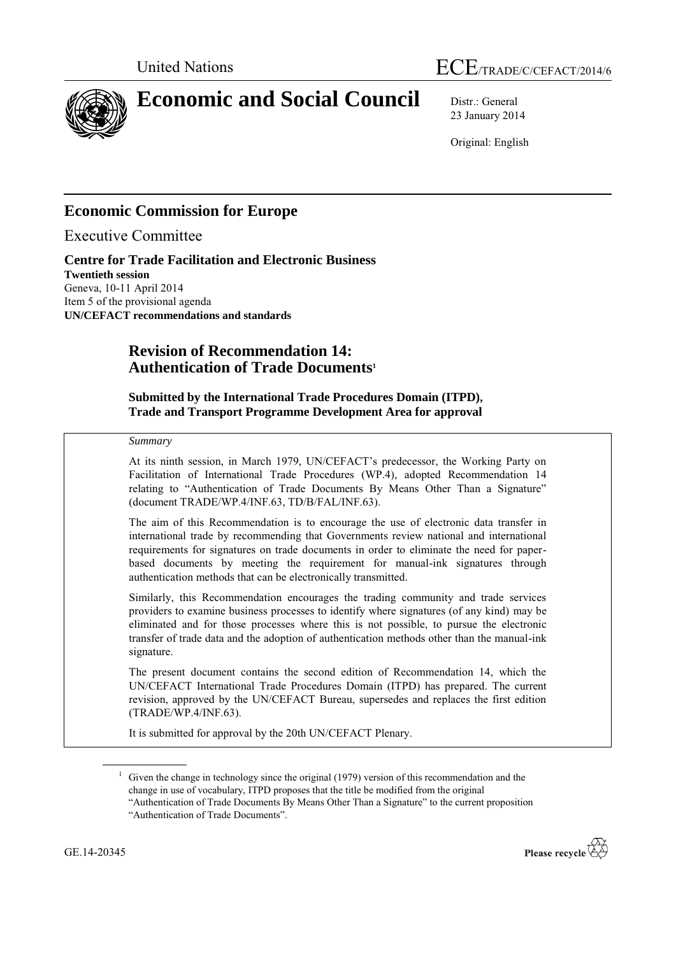



# **Economic and Social Council** Distr.: General

23 January 2014

Original: English

# **Economic Commission for Europe**

Executive Committee

**Centre for Trade Facilitation and Electronic Business Twentieth session** Geneva, 10-11 April 2014 Item 5 of the provisional agenda **UN/CEFACT recommendations and standards**

# **Revision of Recommendation 14: Authentication of Trade Documents<sup>1</sup>**

**Submitted by the International Trade Procedures Domain (ITPD), Trade and Transport Programme Development Area for approval**

### *Summary*

At its ninth session, in March 1979, UN/CEFACT's predecessor, the Working Party on Facilitation of International Trade Procedures (WP.4), adopted Recommendation 14 relating to "Authentication of Trade Documents By Means Other Than a Signature" (document TRADE/WP.4/INF.63, TD/B/FAL/INF.63).

The aim of this Recommendation is to encourage the use of electronic data transfer in international trade by recommending that Governments review national and international requirements for signatures on trade documents in order to eliminate the need for paperbased documents by meeting the requirement for manual-ink signatures through authentication methods that can be electronically transmitted.

Similarly, this Recommendation encourages the trading community and trade services providers to examine business processes to identify where signatures (of any kind) may be eliminated and for those processes where this is not possible, to pursue the electronic transfer of trade data and the adoption of authentication methods other than the manual-ink signature.

The present document contains the second edition of Recommendation 14, which the UN/CEFACT International Trade Procedures Domain (ITPD) has prepared. The current revision, approved by the UN/CEFACT Bureau, supersedes and replaces the first edition (TRADE/WP.4/INF.63).

It is submitted for approval by the 20th UN/CEFACT Plenary.

<sup>&</sup>quot;Authentication of Trade Documents By Means Other Than a Signature" to the current proposition "Authentication of Trade Documents".



 $1$  Given the change in technology since the original (1979) version of this recommendation and the change in use of vocabulary, ITPD proposes that the title be modified from the original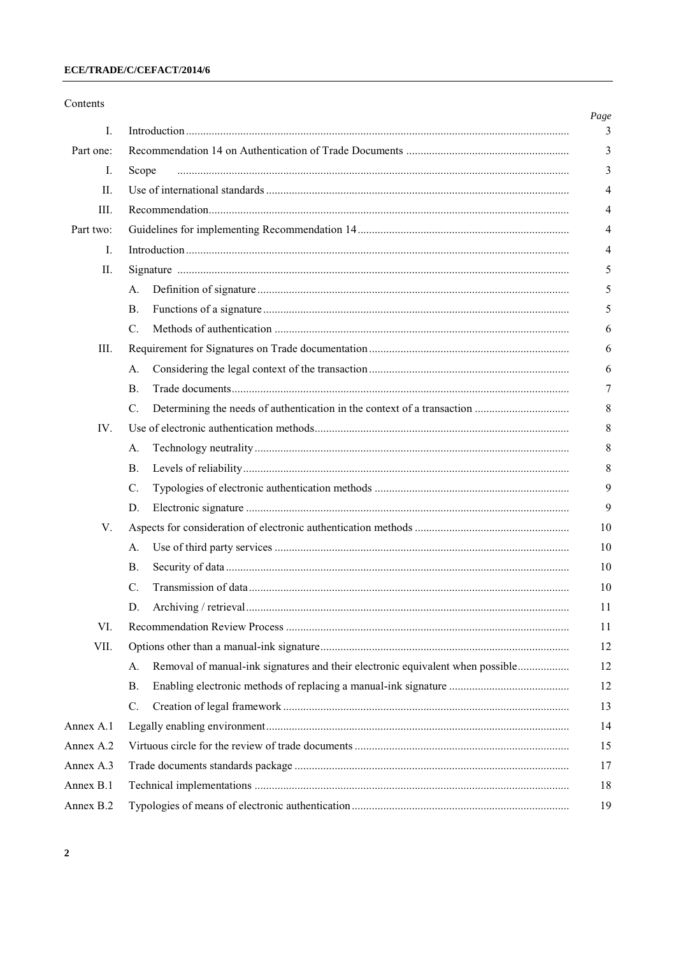|                                                                                      | Page           |
|--------------------------------------------------------------------------------------|----------------|
|                                                                                      | 3              |
|                                                                                      | 3              |
| Scope                                                                                | 3              |
|                                                                                      | $\overline{4}$ |
|                                                                                      | 4              |
|                                                                                      | 4              |
|                                                                                      | $\overline{4}$ |
|                                                                                      | 5              |
| А.                                                                                   | 5              |
| <b>B.</b>                                                                            | 5              |
| C.                                                                                   | 6              |
|                                                                                      | 6              |
| A.                                                                                   | 6              |
| Β.                                                                                   | 7              |
| C.                                                                                   | 8              |
|                                                                                      | 8              |
| А.                                                                                   | 8              |
| Β.                                                                                   | 8              |
| $\mathcal{C}$ .                                                                      | 9              |
| D.                                                                                   | 9              |
|                                                                                      | 10             |
| A.                                                                                   | 10             |
| <b>B.</b>                                                                            | 10             |
| C.                                                                                   | 10             |
| D.                                                                                   | 11             |
|                                                                                      | 11             |
|                                                                                      | 12             |
| Removal of manual-ink signatures and their electronic equivalent when possible<br>А. | 12             |
| <b>B.</b>                                                                            | 12             |
| $\mathcal{C}$ .                                                                      | 13             |
|                                                                                      | 14             |
|                                                                                      | 15             |
|                                                                                      | 17             |
|                                                                                      | 18             |
|                                                                                      | 19             |
|                                                                                      |                |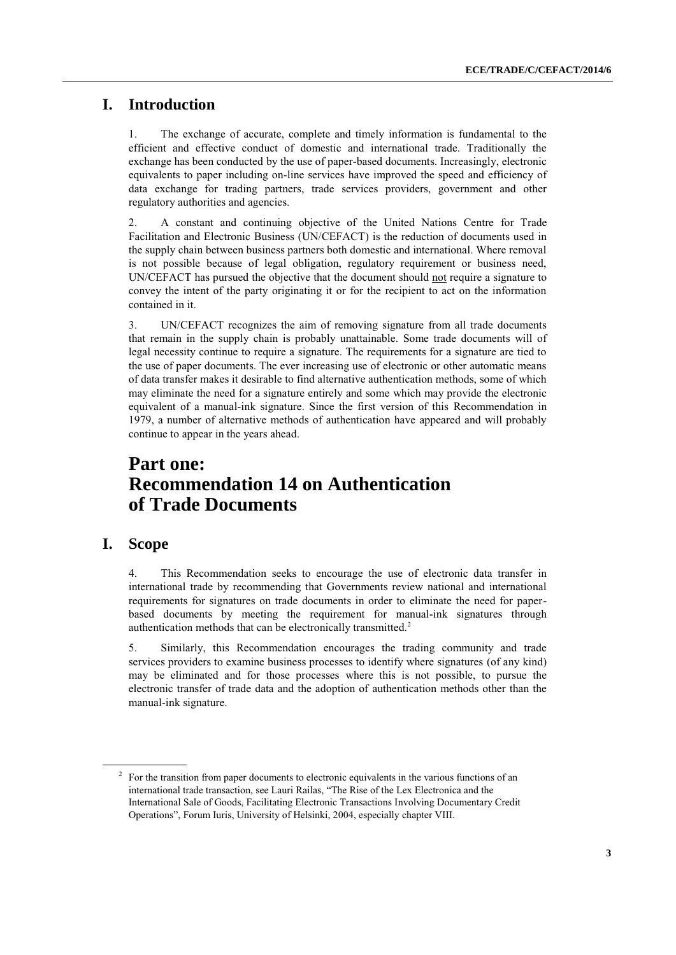# **I. Introduction**

1. The exchange of accurate, complete and timely information is fundamental to the efficient and effective conduct of domestic and international trade. Traditionally the exchange has been conducted by the use of paper-based documents. Increasingly, electronic equivalents to paper including on-line services have improved the speed and efficiency of data exchange for trading partners, trade services providers, government and other regulatory authorities and agencies.

2. A constant and continuing objective of the United Nations Centre for Trade Facilitation and Electronic Business (UN/CEFACT) is the reduction of documents used in the supply chain between business partners both domestic and international. Where removal is not possible because of legal obligation, regulatory requirement or business need, UN/CEFACT has pursued the objective that the document should not require a signature to convey the intent of the party originating it or for the recipient to act on the information contained in it.

3. UN/CEFACT recognizes the aim of removing signature from all trade documents that remain in the supply chain is probably unattainable. Some trade documents will of legal necessity continue to require a signature. The requirements for a signature are tied to the use of paper documents. The ever increasing use of electronic or other automatic means of data transfer makes it desirable to find alternative authentication methods, some of which may eliminate the need for a signature entirely and some which may provide the electronic equivalent of a manual-ink signature. Since the first version of this Recommendation in 1979, a number of alternative methods of authentication have appeared and will probably continue to appear in the years ahead.

# **Part one: Recommendation 14 on Authentication of Trade Documents**

# **I. Scope**

4. This Recommendation seeks to encourage the use of electronic data transfer in international trade by recommending that Governments review national and international requirements for signatures on trade documents in order to eliminate the need for paperbased documents by meeting the requirement for manual-ink signatures through authentication methods that can be electronically transmitted.<sup>2</sup>

5. Similarly, this Recommendation encourages the trading community and trade services providers to examine business processes to identify where signatures (of any kind) may be eliminated and for those processes where this is not possible, to pursue the electronic transfer of trade data and the adoption of authentication methods other than the manual-ink signature.

 $2^2$  For the transition from paper documents to electronic equivalents in the various functions of an international trade transaction, see Lauri Railas, "The Rise of the Lex Electronica and the International Sale of Goods, Facilitating Electronic Transactions Involving Documentary Credit Operations", Forum Iuris, University of Helsinki, 2004, especially chapter VIII.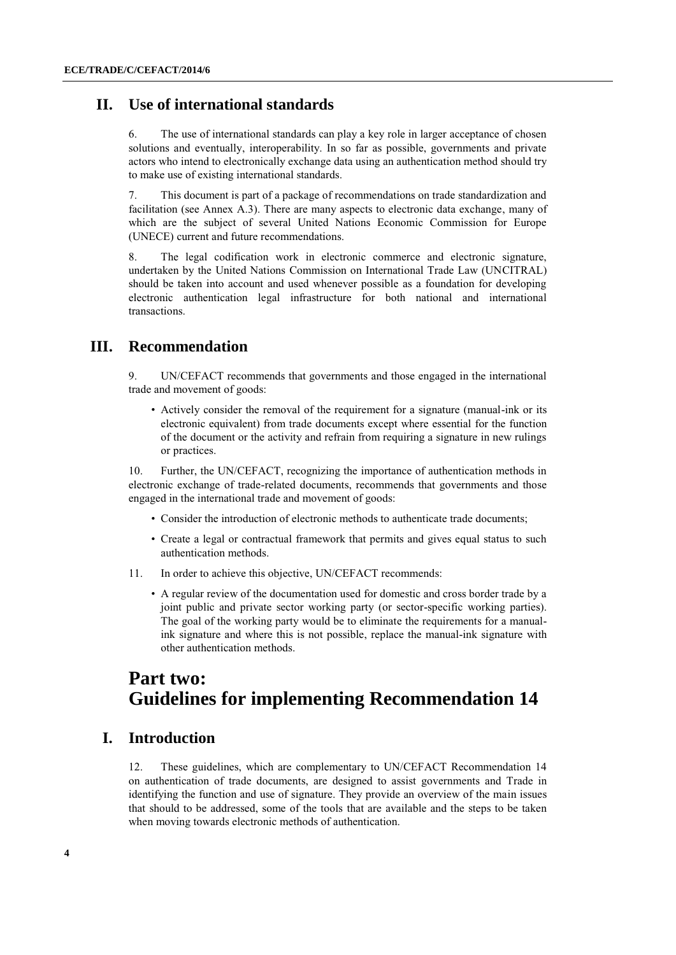## **II. Use of international standards**

6. The use of international standards can play a key role in larger acceptance of chosen solutions and eventually, interoperability. In so far as possible, governments and private actors who intend to electronically exchange data using an authentication method should try to make use of existing international standards.

7. This document is part of a package of recommendations on trade standardization and facilitation (see Annex A.3). There are many aspects to electronic data exchange, many of which are the subject of several United Nations Economic Commission for Europe (UNECE) current and future recommendations.

8. The legal codification work in electronic commerce and electronic signature, undertaken by the United Nations Commission on International Trade Law (UNCITRAL) should be taken into account and used whenever possible as a foundation for developing electronic authentication legal infrastructure for both national and international transactions.

# **III. Recommendation**

9. UN/CEFACT recommends that governments and those engaged in the international trade and movement of goods:

• Actively consider the removal of the requirement for a signature (manual-ink or its electronic equivalent) from trade documents except where essential for the function of the document or the activity and refrain from requiring a signature in new rulings or practices.

10. Further, the UN/CEFACT, recognizing the importance of authentication methods in electronic exchange of trade-related documents, recommends that governments and those engaged in the international trade and movement of goods:

- Consider the introduction of electronic methods to authenticate trade documents;
- Create a legal or contractual framework that permits and gives equal status to such authentication methods.
- 11. In order to achieve this objective, UN/CEFACT recommends:
	- A regular review of the documentation used for domestic and cross border trade by a joint public and private sector working party (or sector-specific working parties). The goal of the working party would be to eliminate the requirements for a manualink signature and where this is not possible, replace the manual-ink signature with other authentication methods.

# **Part two: Guidelines for implementing Recommendation 14**

# **I. Introduction**

12. These guidelines, which are complementary to UN/CEFACT Recommendation 14 on authentication of trade documents, are designed to assist governments and Trade in identifying the function and use of signature. They provide an overview of the main issues that should to be addressed, some of the tools that are available and the steps to be taken when moving towards electronic methods of authentication.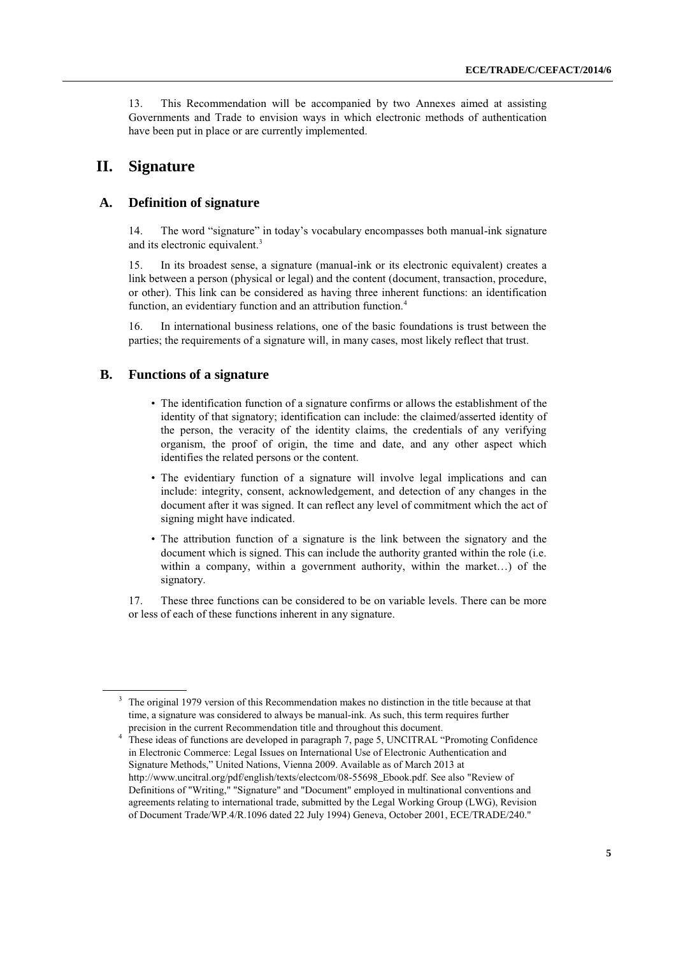13. This Recommendation will be accompanied by two Annexes aimed at assisting Governments and Trade to envision ways in which electronic methods of authentication have been put in place or are currently implemented.

## **II. Signature**

### **A. Definition of signature**

14. The word "signature" in today's vocabulary encompasses both manual-ink signature and its electronic equivalent.<sup>3</sup>

15. In its broadest sense, a signature (manual-ink or its electronic equivalent) creates a link between a person (physical or legal) and the content (document, transaction, procedure, or other). This link can be considered as having three inherent functions: an identification function, an evidentiary function and an attribution function.<sup>4</sup>

16. In international business relations, one of the basic foundations is trust between the parties; the requirements of a signature will, in many cases, most likely reflect that trust.

### **B. Functions of a signature**

- The identification function of a signature confirms or allows the establishment of the identity of that signatory; identification can include: the claimed/asserted identity of the person, the veracity of the identity claims, the credentials of any verifying organism, the proof of origin, the time and date, and any other aspect which identifies the related persons or the content.
- The evidentiary function of a signature will involve legal implications and can include: integrity, consent, acknowledgement, and detection of any changes in the document after it was signed. It can reflect any level of commitment which the act of signing might have indicated.
- The attribution function of a signature is the link between the signatory and the document which is signed. This can include the authority granted within the role (i.e. within a company, within a government authority, within the market…) of the signatory.

17. These three functions can be considered to be on variable levels. There can be more or less of each of these functions inherent in any signature.

<sup>&</sup>lt;sup>3</sup> The original 1979 version of this Recommendation makes no distinction in the title because at that time, a signature was considered to always be manual-ink. As such, this term requires further precision in the current Recommendation title and throughout this document.

<sup>&</sup>lt;sup>4</sup> These ideas of functions are developed in paragraph 7, page 5, UNCITRAL "Promoting Confidence" in Electronic Commerce: Legal Issues on International Use of Electronic Authentication and Signature Methods," United Nations, Vienna 2009. Available as of March 2013 at [http://www.uncitral.org/pdf/english/texts/electcom/08-55698\\_Ebook.pdf.](http://www.uncitral.org/pdf/english/texts/electcom/08-55698_Ebook.pdf) See also "Review of Definitions of "Writing," "Signature" and "Document" employed in multinational conventions and agreements relating to international trade, submitted by the Legal Working Group (LWG), Revision of Document Trade/WP.4/R.1096 dated 22 July 1994) Geneva, October 2001, ECE/TRADE/240."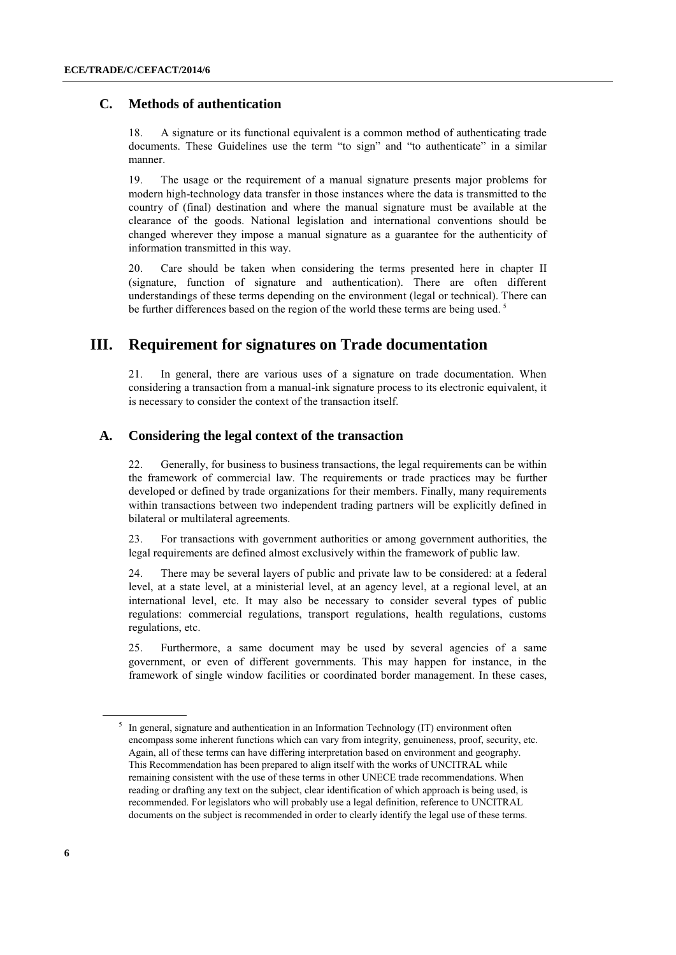## **C. Methods of authentication**

18. A signature or its functional equivalent is a common method of authenticating trade documents. These Guidelines use the term "to sign" and "to authenticate" in a similar manner.

19. The usage or the requirement of a manual signature presents major problems for modern high-technology data transfer in those instances where the data is transmitted to the country of (final) destination and where the manual signature must be available at the clearance of the goods. National legislation and international conventions should be changed wherever they impose a manual signature as a guarantee for the authenticity of information transmitted in this way.

20. Care should be taken when considering the terms presented here in chapter II (signature, function of signature and authentication). There are often different understandings of these terms depending on the environment (legal or technical). There can be further differences based on the region of the world these terms are being used.<sup>5</sup>

# **III. Requirement for signatures on Trade documentation**

21. In general, there are various uses of a signature on trade documentation. When considering a transaction from a manual-ink signature process to its electronic equivalent, it is necessary to consider the context of the transaction itself.

### **A. Considering the legal context of the transaction**

22. Generally, for business to business transactions, the legal requirements can be within the framework of commercial law. The requirements or trade practices may be further developed or defined by trade organizations for their members. Finally, many requirements within transactions between two independent trading partners will be explicitly defined in bilateral or multilateral agreements.

23. For transactions with government authorities or among government authorities, the legal requirements are defined almost exclusively within the framework of public law.

24. There may be several layers of public and private law to be considered: at a federal level, at a state level, at a ministerial level, at an agency level, at a regional level, at an international level, etc. It may also be necessary to consider several types of public regulations: commercial regulations, transport regulations, health regulations, customs regulations, etc.

25. Furthermore, a same document may be used by several agencies of a same government, or even of different governments. This may happen for instance, in the framework of single window facilities or coordinated border management. In these cases,

<sup>&</sup>lt;sup>5</sup> In general, signature and authentication in an Information Technology (IT) environment often encompass some inherent functions which can vary from integrity, genuineness, proof, security, etc. Again, all of these terms can have differing interpretation based on environment and geography. This Recommendation has been prepared to align itself with the works of UNCITRAL while remaining consistent with the use of these terms in other UNECE trade recommendations. When reading or drafting any text on the subject, clear identification of which approach is being used, is recommended. For legislators who will probably use a legal definition, reference to UNCITRAL documents on the subject is recommended in order to clearly identify the legal use of these terms.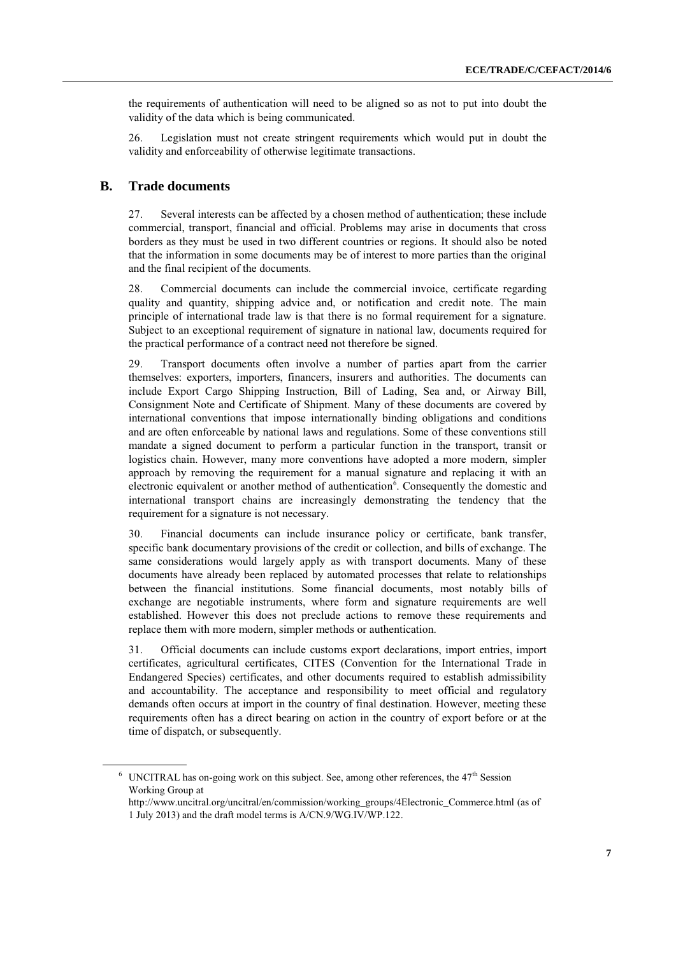the requirements of authentication will need to be aligned so as not to put into doubt the validity of the data which is being communicated.

26. Legislation must not create stringent requirements which would put in doubt the validity and enforceability of otherwise legitimate transactions.

### **B. Trade documents**

27. Several interests can be affected by a chosen method of authentication; these include commercial, transport, financial and official. Problems may arise in documents that cross borders as they must be used in two different countries or regions. It should also be noted that the information in some documents may be of interest to more parties than the original and the final recipient of the documents.

28. Commercial documents can include the commercial invoice, certificate regarding quality and quantity, shipping advice and, or notification and credit note. The main principle of international trade law is that there is no formal requirement for a signature. Subject to an exceptional requirement of signature in national law, documents required for the practical performance of a contract need not therefore be signed.

29. Transport documents often involve a number of parties apart from the carrier themselves: exporters, importers, financers, insurers and authorities. The documents can include Export Cargo Shipping Instruction, Bill of Lading, Sea and, or Airway Bill, Consignment Note and Certificate of Shipment. Many of these documents are covered by international conventions that impose internationally binding obligations and conditions and are often enforceable by national laws and regulations. Some of these conventions still mandate a signed document to perform a particular function in the transport, transit or logistics chain. However, many more conventions have adopted a more modern, simpler approach by removing the requirement for a manual signature and replacing it with an electronic equivalent or another method of authentication<sup>6</sup>. Consequently the domestic and international transport chains are increasingly demonstrating the tendency that the requirement for a signature is not necessary.

30. Financial documents can include insurance policy or certificate, bank transfer, specific bank documentary provisions of the credit or collection, and bills of exchange. The same considerations would largely apply as with transport documents. Many of these documents have already been replaced by automated processes that relate to relationships between the financial institutions. Some financial documents, most notably bills of exchange are negotiable instruments, where form and signature requirements are well established. However this does not preclude actions to remove these requirements and replace them with more modern, simpler methods or authentication.

31. Official documents can include customs export declarations, import entries, import certificates, agricultural certificates, CITES (Convention for the International Trade in Endangered Species) certificates, and other documents required to establish admissibility and accountability. The acceptance and responsibility to meet official and regulatory demands often occurs at import in the country of final destination. However, meeting these requirements often has a direct bearing on action in the country of export before or at the time of dispatch, or subsequently.

 $6$  UNCITRAL has on-going work on this subject. See, among other references, the  $47<sup>th</sup>$  Session Working Group at

[http://www.uncitral.org/uncitral/en/commission/working\\_groups/4Electronic\\_Commerce.html](http://www.uncitral.org/uncitral/en/commission/working_groups/4Electronic_Commerce.html) (as of 1 July 2013) and the draft model terms is A/CN.9/WG.IV/WP.122.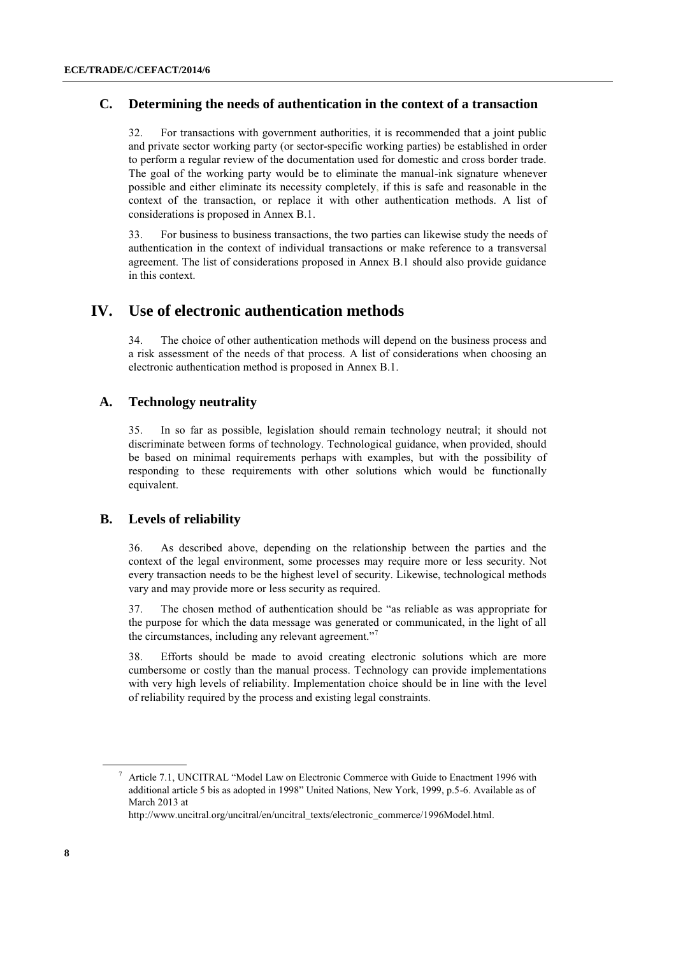## **C. Determining the needs of authentication in the context of a transaction**

32. For transactions with government authorities, it is recommended that a joint public and private sector working party (or sector-specific working parties) be established in order to perform a regular review of the documentation used for domestic and cross border trade. The goal of the working party would be to eliminate the manual-ink signature whenever possible and either eliminate its necessity completely, if this is safe and reasonable in the context of the transaction, or replace it with other authentication methods. A list of considerations is proposed in Annex B.1.

33. For business to business transactions, the two parties can likewise study the needs of authentication in the context of individual transactions or make reference to a transversal agreement. The list of considerations proposed in Annex B.1 should also provide guidance in this context.

## **IV. Use of electronic authentication methods**

34. The choice of other authentication methods will depend on the business process and a risk assessment of the needs of that process. A list of considerations when choosing an electronic authentication method is proposed in Annex B.1.

## **A. Technology neutrality**

35. In so far as possible, legislation should remain technology neutral; it should not discriminate between forms of technology. Technological guidance, when provided, should be based on minimal requirements perhaps with examples, but with the possibility of responding to these requirements with other solutions which would be functionally equivalent.

## **B. Levels of reliability**

36. As described above, depending on the relationship between the parties and the context of the legal environment, some processes may require more or less security. Not every transaction needs to be the highest level of security. Likewise, technological methods vary and may provide more or less security as required.

37. The chosen method of authentication should be "as reliable as was appropriate for the purpose for which the data message was generated or communicated, in the light of all the circumstances, including any relevant agreement."<sup>7</sup>

38. Efforts should be made to avoid creating electronic solutions which are more cumbersome or costly than the manual process. Technology can provide implementations with very high levels of reliability. Implementation choice should be in line with the level of reliability required by the process and existing legal constraints.

<sup>7</sup> Article 7.1, UNCITRAL "Model Law on Electronic Commerce with Guide to Enactment 1996 with additional article 5 bis as adopted in 1998" United Nations, New York, 1999, p.5-6. Available as of March 2013 at

[http://www.uncitral.org/uncitral/en/uncitral\\_texts/electronic\\_commerce/1996Model.html.](http://www.uncitral.org/uncitral/en/uncitral_texts/electronic_commerce/1996Model.html)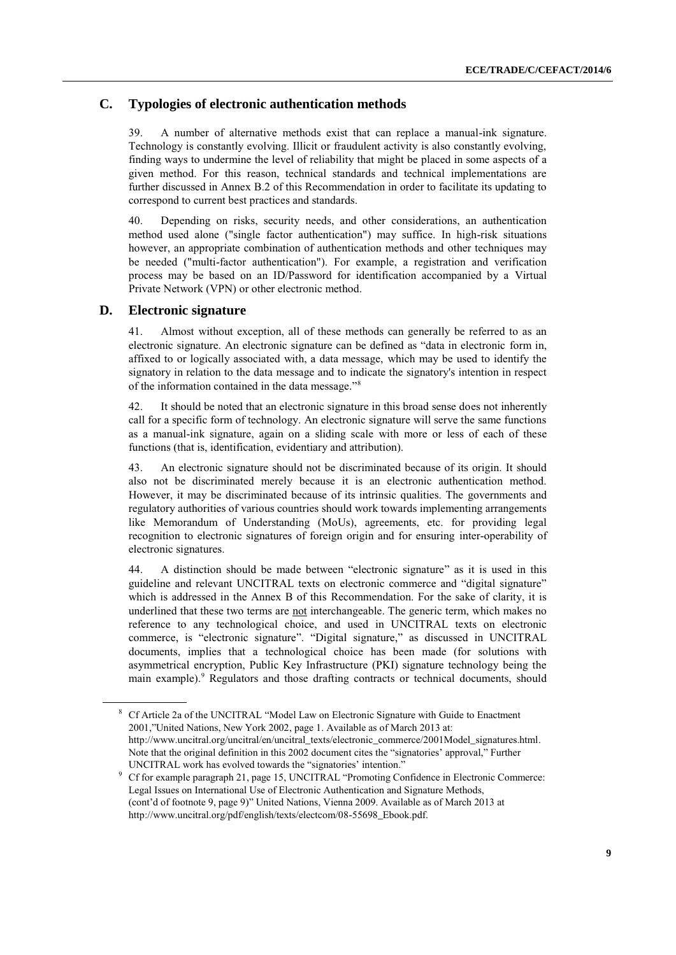## **C. Typologies of electronic authentication methods**

39. A number of alternative methods exist that can replace a manual-ink signature. Technology is constantly evolving. Illicit or fraudulent activity is also constantly evolving, finding ways to undermine the level of reliability that might be placed in some aspects of a given method. For this reason, technical standards and technical implementations are further discussed in Annex B.2 of this Recommendation in order to facilitate its updating to correspond to current best practices and standards.

40. Depending on risks, security needs, and other considerations, an authentication method used alone ("single factor authentication") may suffice. In high-risk situations however, an appropriate combination of authentication methods and other techniques may be needed ("multi-factor authentication"). For example, a registration and verification process may be based on an ID/Password for identification accompanied by a Virtual Private Network (VPN) or other electronic method.

## **D. Electronic signature**

41. Almost without exception, all of these methods can generally be referred to as an electronic signature. An electronic signature can be defined as "data in electronic form in, affixed to or logically associated with, a data message, which may be used to identify the signatory in relation to the data message and to indicate the signatory's intention in respect of the information contained in the data message."<sup>8</sup>

42. It should be noted that an electronic signature in this broad sense does not inherently call for a specific form of technology. An electronic signature will serve the same functions as a manual-ink signature, again on a sliding scale with more or less of each of these functions (that is, identification, evidentiary and attribution).

43. An electronic signature should not be discriminated because of its origin. It should also not be discriminated merely because it is an electronic authentication method. However, it may be discriminated because of its intrinsic qualities. The governments and regulatory authorities of various countries should work towards implementing arrangements like Memorandum of Understanding (MoUs), agreements, etc. for providing legal recognition to electronic signatures of foreign origin and for ensuring inter-operability of electronic signatures.

44. A distinction should be made between "electronic signature" as it is used in this guideline and relevant UNCITRAL texts on electronic commerce and "digital signature" which is addressed in the Annex B of this Recommendation. For the sake of clarity, it is underlined that these two terms are not interchangeable. The generic term, which makes no reference to any technological choice, and used in UNCITRAL texts on electronic commerce, is "electronic signature". "Digital signature," as discussed in UNCITRAL documents, implies that a technological choice has been made (for solutions with asymmetrical encryption, Public Key Infrastructure (PKI) signature technology being the main example).<sup>9</sup> Regulators and those drafting contracts or technical documents, should

<sup>8</sup> Cf Article 2a of the UNCITRAL "Model Law on Electronic Signature with Guide to Enactment 2001,"United Nations, New York 2002, page 1. Available as of March 2013 at: [http://www.uncitral.org/uncitral/en/uncitral\\_texts/electronic\\_commerce/2001Model\\_signatures.html.](http://www.uncitral.org/uncitral/en/uncitral_texts/electronic_commerce/2001Model_signatures.html)  Note that the original definition in this 2002 document cites the "signatories' approval," Further UNCITRAL work has evolved towards the "signatories' intention."

<sup>9</sup> Cf for example paragraph 21, page 15, UNCITRAL "Promoting Confidence in Electronic Commerce: Legal Issues on International Use of Electronic Authentication and Signature Methods, (cont'd of footnote 9, page 9)" United Nations, Vienna 2009. Available as of March 2013 at [http://www.uncitral.org/pdf/english/texts/electcom/08-55698\\_Ebook.pdf.](http://www.uncitral.org/pdf/english/texts/electcom/08-55698_Ebook.pdf)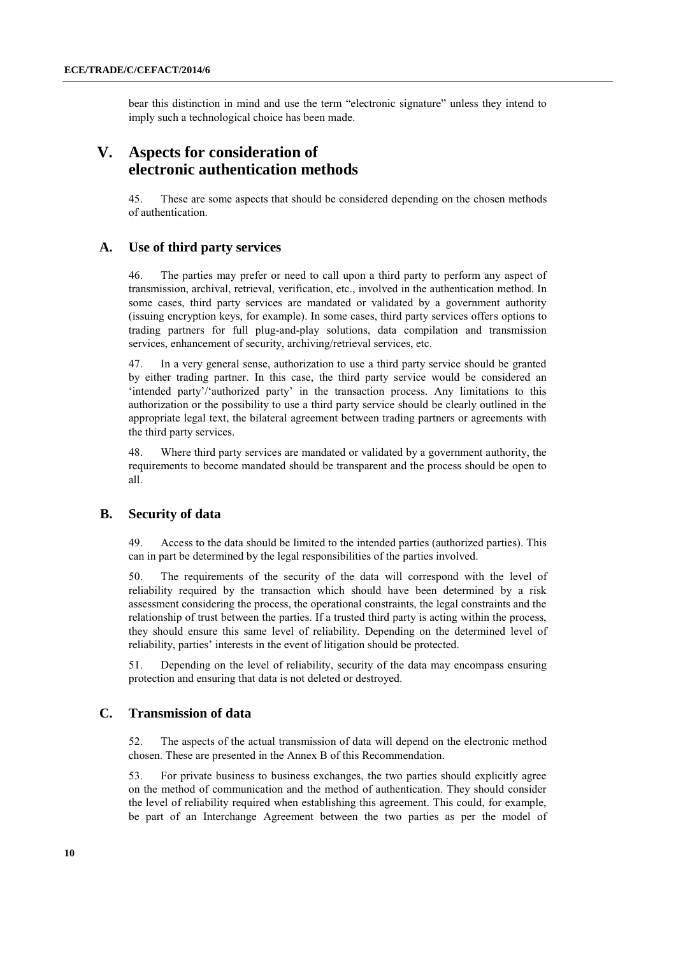bear this distinction in mind and use the term "electronic signature" unless they intend to imply such a technological choice has been made.

# **V. Aspects for consideration of electronic authentication methods**

45. These are some aspects that should be considered depending on the chosen methods of authentication.

## **A. Use of third party services**

46. The parties may prefer or need to call upon a third party to perform any aspect of transmission, archival, retrieval, verification, etc., involved in the authentication method. In some cases, third party services are mandated or validated by a government authority (issuing encryption keys, for example). In some cases, third party services offers options to trading partners for full plug-and-play solutions, data compilation and transmission services, enhancement of security, archiving/retrieval services, etc.

47. In a very general sense, authorization to use a third party service should be granted by either trading partner. In this case, the third party service would be considered an 'intended party'/'authorized party' in the transaction process. Any limitations to this authorization or the possibility to use a third party service should be clearly outlined in the appropriate legal text, the bilateral agreement between trading partners or agreements with the third party services.

48. Where third party services are mandated or validated by a government authority, the requirements to become mandated should be transparent and the process should be open to all.

## **B. Security of data**

49. Access to the data should be limited to the intended parties (authorized parties). This can in part be determined by the legal responsibilities of the parties involved.

50. The requirements of the security of the data will correspond with the level of reliability required by the transaction which should have been determined by a risk assessment considering the process, the operational constraints, the legal constraints and the relationship of trust between the parties. If a trusted third party is acting within the process, they should ensure this same level of reliability*.* Depending on the determined level of reliability, parties' interests in the event of litigation should be protected.

51. Depending on the level of reliability, security of the data may encompass ensuring protection and ensuring that data is not deleted or destroyed.

### **C. Transmission of data**

52. The aspects of the actual transmission of data will depend on the electronic method chosen. These are presented in the Annex B of this Recommendation.

53. For private business to business exchanges, the two parties should explicitly agree on the method of communication and the method of authentication. They should consider the level of reliability required when establishing this agreement. This could, for example, be part of an Interchange Agreement between the two parties as per the model of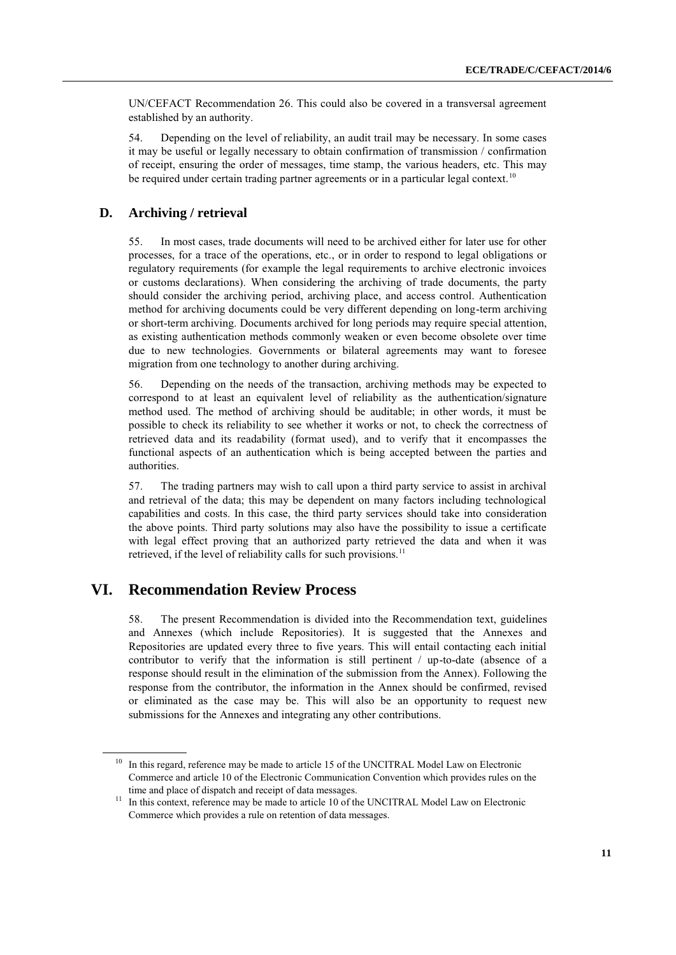UN/CEFACT Recommendation 26. This could also be covered in a transversal agreement established by an authority.

54. Depending on the level of reliability, an audit trail may be necessary. In some cases it may be useful or legally necessary to obtain confirmation of transmission / confirmation of receipt, ensuring the order of messages, time stamp, the various headers, etc. This may be required under certain trading partner agreements or in a particular legal context.<sup>10</sup>

### **D. Archiving / retrieval**

55. In most cases, trade documents will need to be archived either for later use for other processes, for a trace of the operations, etc., or in order to respond to legal obligations or regulatory requirements (for example the legal requirements to archive electronic invoices or customs declarations). When considering the archiving of trade documents, the party should consider the archiving period, archiving place, and access control. Authentication method for archiving documents could be very different depending on long-term archiving or short-term archiving. Documents archived for long periods may require special attention, as existing authentication methods commonly weaken or even become obsolete over time due to new technologies. Governments or bilateral agreements may want to foresee migration from one technology to another during archiving.

56. Depending on the needs of the transaction, archiving methods may be expected to correspond to at least an equivalent level of reliability as the authentication/signature method used. The method of archiving should be auditable; in other words, it must be possible to check its reliability to see whether it works or not, to check the correctness of retrieved data and its readability (format used), and to verify that it encompasses the functional aspects of an authentication which is being accepted between the parties and authorities.

57. The trading partners may wish to call upon a third party service to assist in archival and retrieval of the data; this may be dependent on many factors including technological capabilities and costs. In this case, the third party services should take into consideration the above points. Third party solutions may also have the possibility to issue a certificate with legal effect proving that an authorized party retrieved the data and when it was retrieved, if the level of reliability calls for such provisions.<sup>11</sup>

# **VI. Recommendation Review Process**

58. The present Recommendation is divided into the Recommendation text, guidelines and Annexes (which include Repositories). It is suggested that the Annexes and Repositories are updated every three to five years. This will entail contacting each initial contributor to verify that the information is still pertinent / up-to-date (absence of a response should result in the elimination of the submission from the Annex). Following the response from the contributor, the information in the Annex should be confirmed, revised or eliminated as the case may be. This will also be an opportunity to request new submissions for the Annexes and integrating any other contributions.

<sup>&</sup>lt;sup>10</sup> In this regard, reference may be made to article 15 of the UNCITRAL Model Law on Electronic Commerce and article 10 of the Electronic Communication Convention which provides rules on the time and place of dispatch and receipt of data messages.

<sup>&</sup>lt;sup>11</sup> In this context, reference may be made to article 10 of the UNCITRAL Model Law on Electronic Commerce which provides a rule on retention of data messages.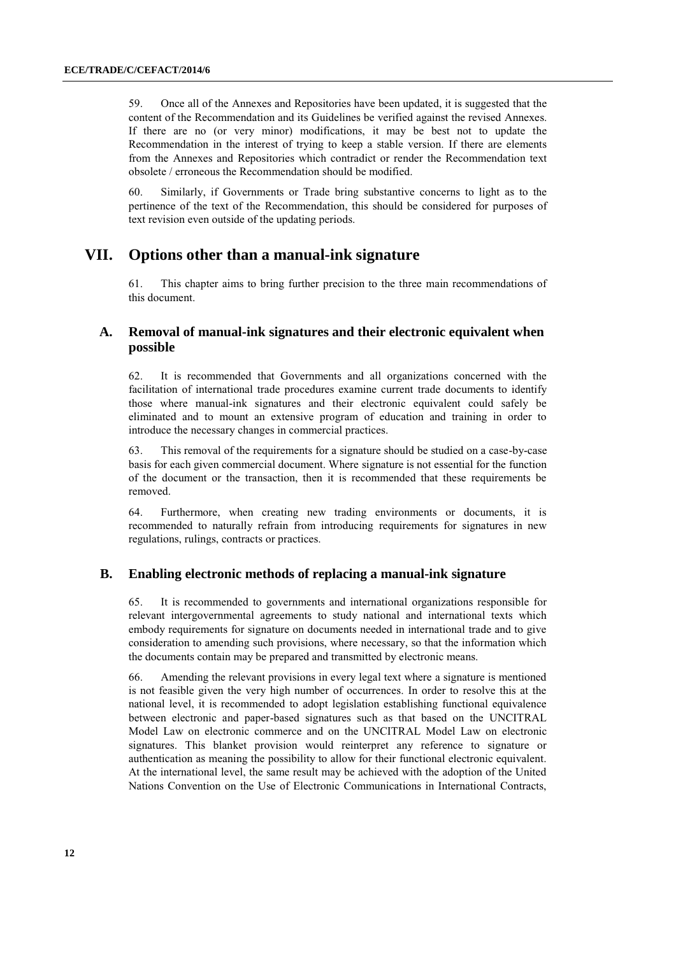59. Once all of the Annexes and Repositories have been updated, it is suggested that the content of the Recommendation and its Guidelines be verified against the revised Annexes. If there are no (or very minor) modifications, it may be best not to update the Recommendation in the interest of trying to keep a stable version. If there are elements from the Annexes and Repositories which contradict or render the Recommendation text obsolete / erroneous the Recommendation should be modified.

60. Similarly, if Governments or Trade bring substantive concerns to light as to the pertinence of the text of the Recommendation, this should be considered for purposes of text revision even outside of the updating periods.

# **VII. Options other than a manual-ink signature**

61. This chapter aims to bring further precision to the three main recommendations of this document.

## **A. Removal of manual-ink signatures and their electronic equivalent when possible**

62. It is recommended that Governments and all organizations concerned with the facilitation of international trade procedures examine current trade documents to identify those where manual-ink signatures and their electronic equivalent could safely be eliminated and to mount an extensive program of education and training in order to introduce the necessary changes in commercial practices.

63. This removal of the requirements for a signature should be studied on a case-by-case basis for each given commercial document. Where signature is not essential for the function of the document or the transaction, then it is recommended that these requirements be removed.

64. Furthermore, when creating new trading environments or documents, it is recommended to naturally refrain from introducing requirements for signatures in new regulations, rulings, contracts or practices.

## **B. Enabling electronic methods of replacing a manual-ink signature**

65. It is recommended to governments and international organizations responsible for relevant intergovernmental agreements to study national and international texts which embody requirements for signature on documents needed in international trade and to give consideration to amending such provisions, where necessary, so that the information which the documents contain may be prepared and transmitted by electronic means.

66. Amending the relevant provisions in every legal text where a signature is mentioned is not feasible given the very high number of occurrences. In order to resolve this at the national level, it is recommended to adopt legislation establishing functional equivalence between electronic and paper-based signatures such as that based on the UNCITRAL Model Law on electronic commerce and on the UNCITRAL Model Law on electronic signatures. This blanket provision would reinterpret any reference to signature or authentication as meaning the possibility to allow for their functional electronic equivalent. At the international level, the same result may be achieved with the adoption of the United Nations Convention on the Use of Electronic Communications in International Contracts,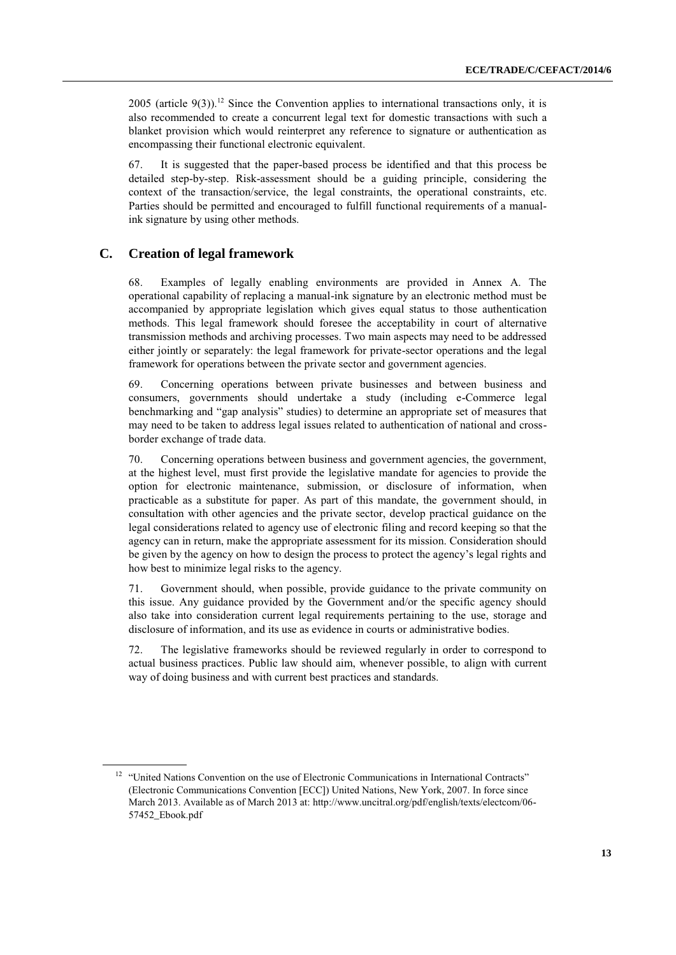2005 (article 9(3)).<sup>12</sup> Since the Convention applies to international transactions only, it is also recommended to create a concurrent legal text for domestic transactions with such a blanket provision which would reinterpret any reference to signature or authentication as encompassing their functional electronic equivalent.

67. It is suggested that the paper-based process be identified and that this process be detailed step-by-step. Risk-assessment should be a guiding principle, considering the context of the transaction/service, the legal constraints, the operational constraints, etc. Parties should be permitted and encouraged to fulfill functional requirements of a manualink signature by using other methods.

## **C. Creation of legal framework**

68. Examples of legally enabling environments are provided in Annex A. The operational capability of replacing a manual-ink signature by an electronic method must be accompanied by appropriate legislation which gives equal status to those authentication methods. This legal framework should foresee the acceptability in court of alternative transmission methods and archiving processes. Two main aspects may need to be addressed either jointly or separately: the legal framework for private-sector operations and the legal framework for operations between the private sector and government agencies.

69. Concerning operations between private businesses and between business and consumers, governments should undertake a study (including e-Commerce legal benchmarking and "gap analysis" studies) to determine an appropriate set of measures that may need to be taken to address legal issues related to authentication of national and crossborder exchange of trade data.

70. Concerning operations between business and government agencies, the government, at the highest level, must first provide the legislative mandate for agencies to provide the option for electronic maintenance, submission, or disclosure of information, when practicable as a substitute for paper. As part of this mandate, the government should, in consultation with other agencies and the private sector, develop practical guidance on the legal considerations related to agency use of electronic filing and record keeping so that the agency can in return, make the appropriate assessment for its mission. Consideration should be given by the agency on how to design the process to protect the agency's legal rights and how best to minimize legal risks to the agency.

71. Government should, when possible, provide guidance to the private community on this issue. Any guidance provided by the Government and/or the specific agency should also take into consideration current legal requirements pertaining to the use, storage and disclosure of information, and its use as evidence in courts or administrative bodies.

72. The legislative frameworks should be reviewed regularly in order to correspond to actual business practices. Public law should aim, whenever possible, to align with current way of doing business and with current best practices and standards.

<sup>&</sup>lt;sup>12</sup> "United Nations Convention on the use of Electronic Communications in International Contracts" (Electronic Communications Convention [ECC]) United Nations, New York, 2007. In force since March 2013. Available as of March 2013 at[: http://www.uncitral.org/pdf/english/texts/electcom/06-](http://www.uncitral.org/pdf/english/texts/electcom/06-57452_Ebook.pdf) [57452\\_Ebook.pdf](http://www.uncitral.org/pdf/english/texts/electcom/06-57452_Ebook.pdf)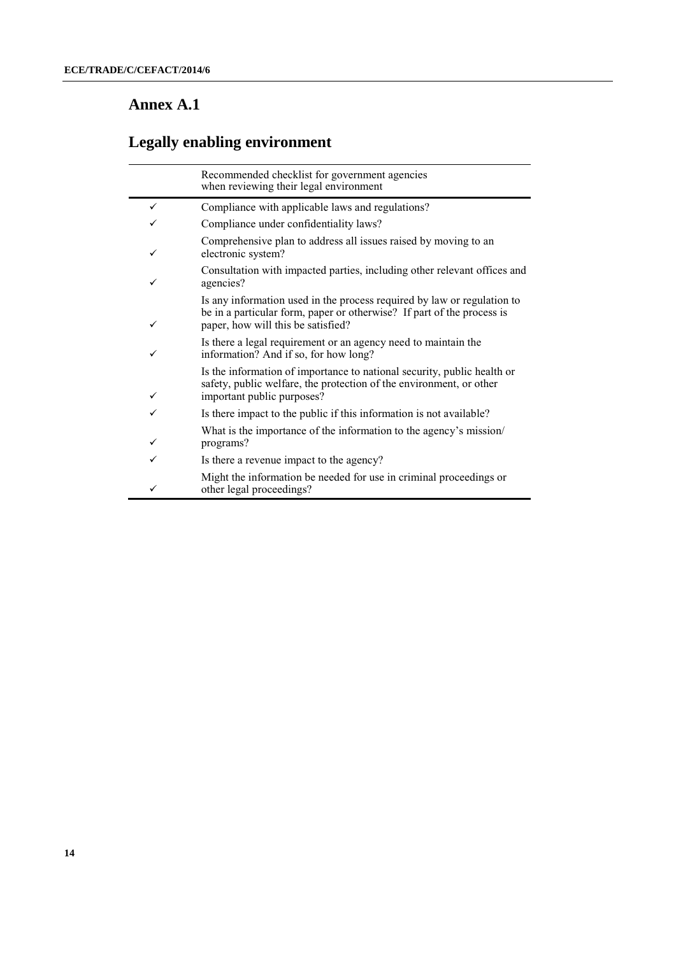# **Annex A.1**

|   | Recommended checklist for government agencies<br>when reviewing their legal environment                                                                                                 |
|---|-----------------------------------------------------------------------------------------------------------------------------------------------------------------------------------------|
| ✓ | Compliance with applicable laws and regulations?                                                                                                                                        |
|   | Compliance under confidentiality laws?                                                                                                                                                  |
| ✓ | Comprehensive plan to address all issues raised by moving to an<br>electronic system?                                                                                                   |
| ✓ | Consultation with impacted parties, including other relevant offices and<br>agencies?                                                                                                   |
| ✓ | Is any information used in the process required by law or regulation to<br>be in a particular form, paper or otherwise? If part of the process is<br>paper, how will this be satisfied? |
| ✓ | Is there a legal requirement or an agency need to maintain the<br>information? And if so, for how long?                                                                                 |
| ✓ | Is the information of importance to national security, public health or<br>safety, public welfare, the protection of the environment, or other<br>important public purposes?            |
| ✓ | Is there impact to the public if this information is not available?                                                                                                                     |
| ✓ | What is the importance of the information to the agency's mission/<br>programs?                                                                                                         |
| ✓ | Is there a revenue impact to the agency?                                                                                                                                                |
| ✓ | Might the information be needed for use in criminal proceedings or<br>other legal proceedings?                                                                                          |

# **Legally enabling environment**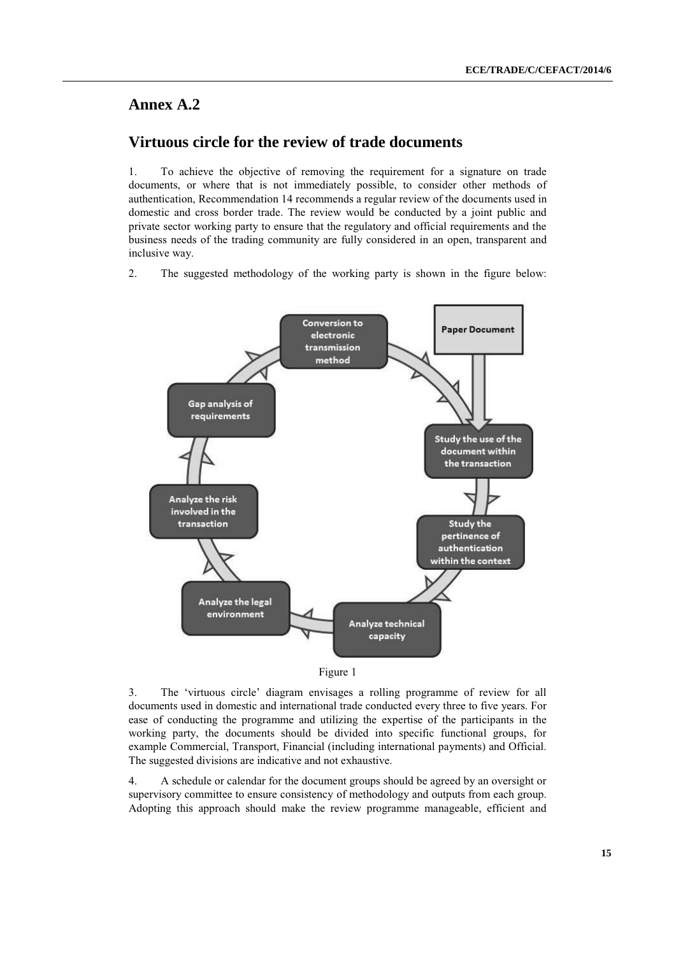# **Annex A.2**

# **Virtuous circle for the review of trade documents**

1. To achieve the objective of removing the requirement for a signature on trade documents, or where that is not immediately possible, to consider other methods of authentication, Recommendation 14 recommends a regular review of the documents used in domestic and cross border trade. The review would be conducted by a joint public and private sector working party to ensure that the regulatory and official requirements and the business needs of the trading community are fully considered in an open, transparent and inclusive way.

2. The suggested methodology of the working party is shown in the figure below:





3. The 'virtuous circle' diagram envisages a rolling programme of review for all documents used in domestic and international trade conducted every three to five years. For ease of conducting the programme and utilizing the expertise of the participants in the working party, the documents should be divided into specific functional groups, for example Commercial, Transport, Financial (including international payments) and Official. The suggested divisions are indicative and not exhaustive.

4. A schedule or calendar for the document groups should be agreed by an oversight or supervisory committee to ensure consistency of methodology and outputs from each group. Adopting this approach should make the review programme manageable, efficient and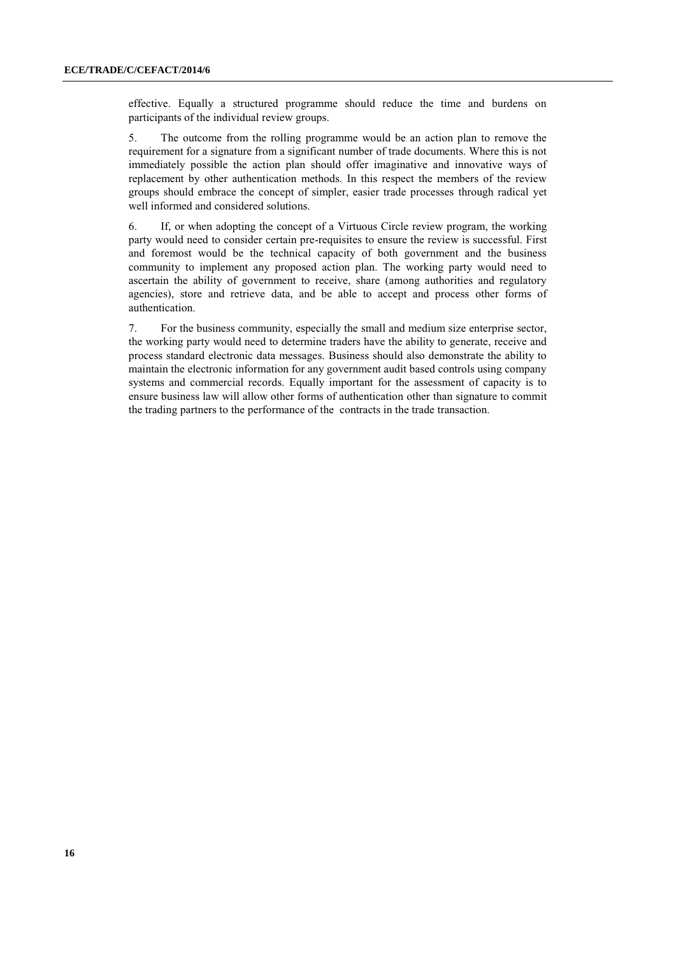effective. Equally a structured programme should reduce the time and burdens on participants of the individual review groups.

5. The outcome from the rolling programme would be an action plan to remove the requirement for a signature from a significant number of trade documents. Where this is not immediately possible the action plan should offer imaginative and innovative ways of replacement by other authentication methods. In this respect the members of the review groups should embrace the concept of simpler, easier trade processes through radical yet well informed and considered solutions.

6. If, or when adopting the concept of a Virtuous Circle review program, the working party would need to consider certain pre-requisites to ensure the review is successful. First and foremost would be the technical capacity of both government and the business community to implement any proposed action plan. The working party would need to ascertain the ability of government to receive, share (among authorities and regulatory agencies), store and retrieve data, and be able to accept and process other forms of authentication.

7. For the business community, especially the small and medium size enterprise sector, the working party would need to determine traders have the ability to generate, receive and process standard electronic data messages. Business should also demonstrate the ability to maintain the electronic information for any government audit based controls using company systems and commercial records. Equally important for the assessment of capacity is to ensure business law will allow other forms of authentication other than signature to commit the trading partners to the performance of the contracts in the trade transaction.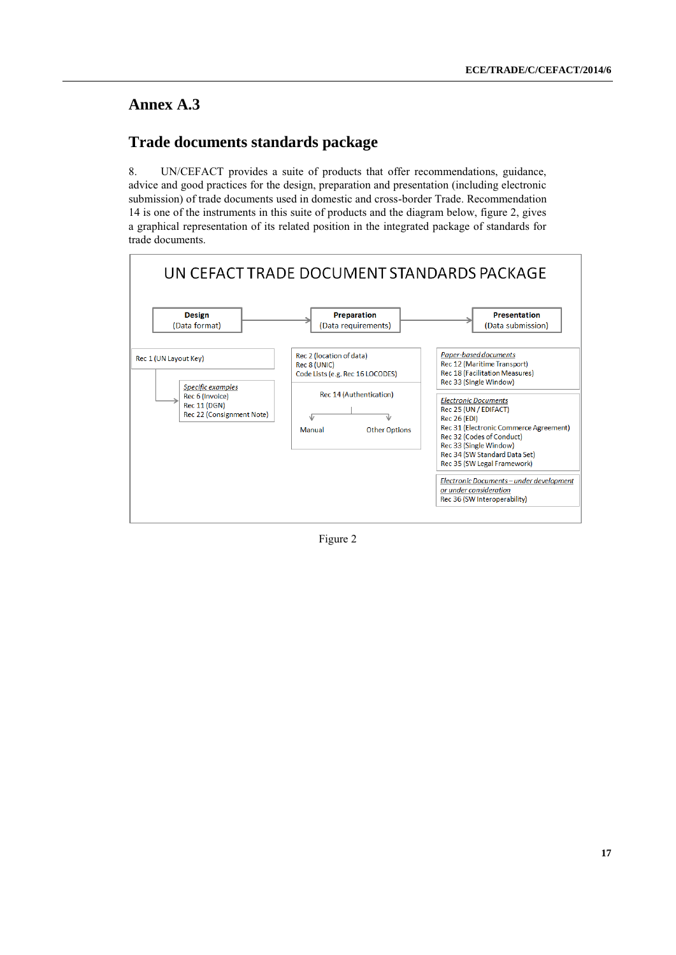# **Annex A.3**

# **Trade documents standards package**

8. UN/CEFACT provides a suite of products that offer recommendations, guidance, advice and good practices for the design, preparation and presentation (including electronic submission) of trade documents used in domestic and cross-border Trade. Recommendation 14 is one of the instruments in this suite of products and the diagram below, figure 2, gives a graphical representation of its related position in the integrated package of standards for trade documents.



Figure 2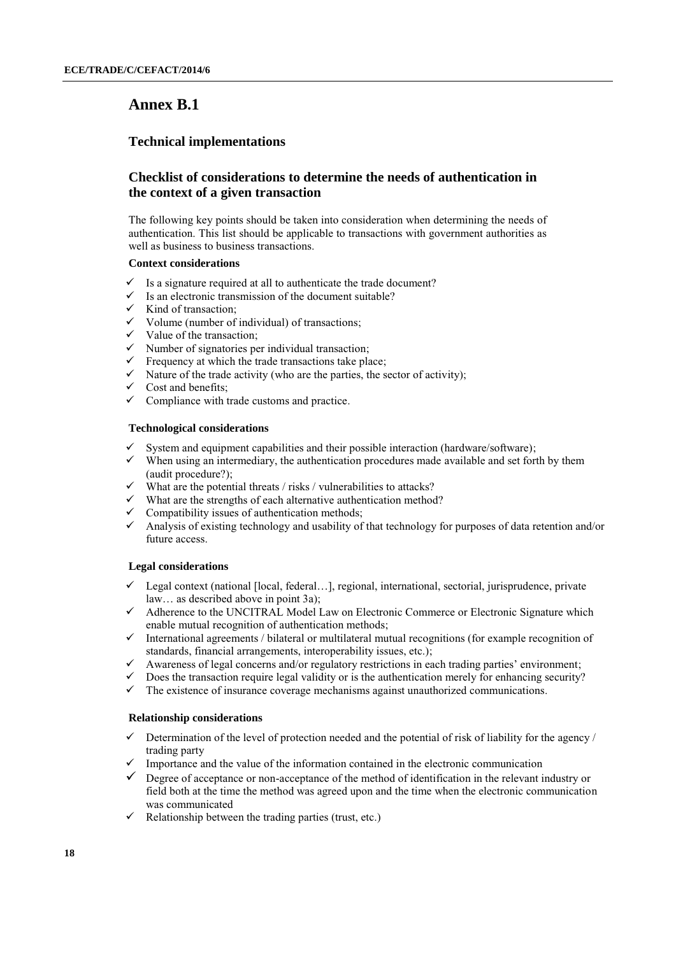# **Annex B.1**

## **Technical implementations**

## **Checklist of considerations to determine the needs of authentication in the context of a given transaction**

The following key points should be taken into consideration when determining the needs of authentication. This list should be applicable to transactions with government authorities as well as business to business transactions.

### **Context considerations**

- Is a signature required at all to authenticate the trade document?
- $\checkmark$  Is an electronic transmission of the document suitable?
- $\checkmark$  Kind of transaction:
- $\checkmark$  Volume (number of individual) of transactions;
- $\checkmark$  Value of the transaction;
- $\checkmark$  Number of signatories per individual transaction;
- $\checkmark$  Frequency at which the trade transactions take place;
- $\checkmark$  Nature of the trade activity (who are the parties, the sector of activity);
- $\checkmark$  Cost and benefits;
- $\checkmark$  Compliance with trade customs and practice.

### **Technological considerations**

- System and equipment capabilities and their possible interaction (hardware/software);
- $\checkmark$  When using an intermediary, the authentication procedures made available and set forth by them (audit procedure?);
- $\checkmark$  What are the potential threats / risks / vulnerabilities to attacks?
- $\checkmark$  What are the strengths of each alternative authentication method?
- $\checkmark$  Compatibility issues of authentication methods;
- Analysis of existing technology and usability of that technology for purposes of data retention and/or future access.

### **Legal considerations**

- Legal context (national [local, federal…], regional, international, sectorial, jurisprudence, private law… as described above in point 3a);
- Adherence to the UNCITRAL Model Law on Electronic Commerce or Electronic Signature which enable mutual recognition of authentication methods;
- $\checkmark$  International agreements / bilateral or multilateral mutual recognitions (for example recognition of standards, financial arrangements, interoperability issues, etc.);
- $\checkmark$  Awareness of legal concerns and/or regulatory restrictions in each trading parties' environment;
- $\checkmark$  Does the transaction require legal validity or is the authentication merely for enhancing security?
- $\checkmark$  The existence of insurance coverage mechanisms against unauthorized communications.

### **Relationship considerations**

- $\checkmark$  Determination of the level of protection needed and the potential of risk of liability for the agency / trading party
- Importance and the value of the information contained in the electronic communication
- $\checkmark$  Degree of acceptance or non-acceptance of the method of identification in the relevant industry or field both at the time the method was agreed upon and the time when the electronic communication was communicated
- $\checkmark$  Relationship between the trading parties (trust, etc.)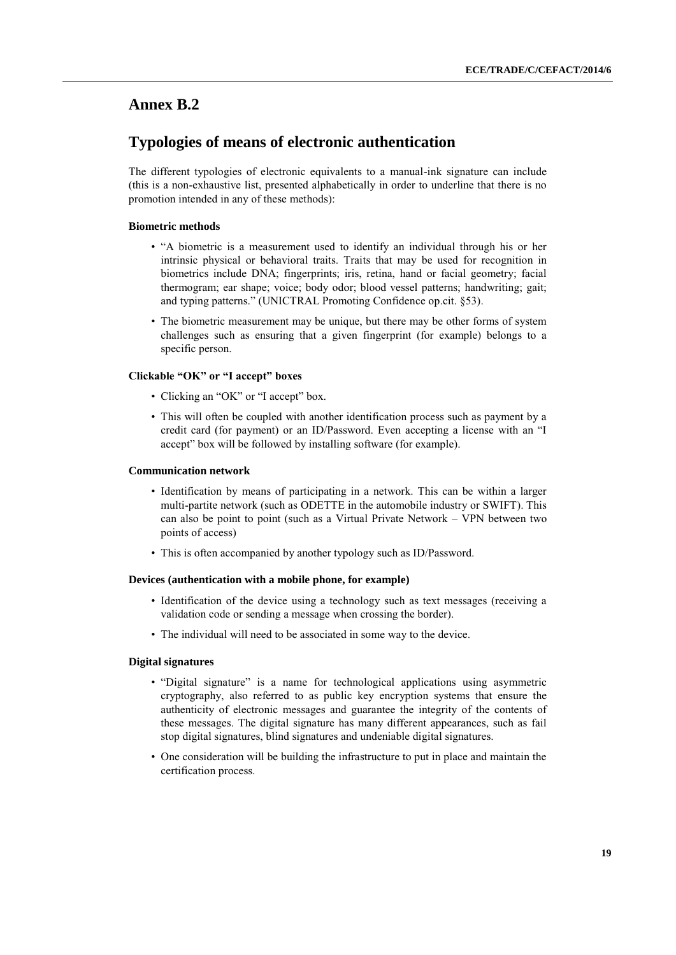## **Annex B.2**

# **Typologies of means of electronic authentication**

The different typologies of electronic equivalents to a manual-ink signature can include (this is a non-exhaustive list, presented alphabetically in order to underline that there is no promotion intended in any of these methods):

### **Biometric methods**

- "A biometric is a measurement used to identify an individual through his or her intrinsic physical or behavioral traits. Traits that may be used for recognition in biometrics include DNA; fingerprints; iris, retina, hand or facial geometry; facial thermogram; ear shape; voice; body odor; blood vessel patterns; handwriting; gait; and typing patterns." (UNICTRAL Promoting Confidence op.cit. §53).
- The biometric measurement may be unique, but there may be other forms of system challenges such as ensuring that a given fingerprint (for example) belongs to a specific person.

### **Clickable "OK" or "I accept" boxes**

- Clicking an "OK" or "I accept" box.
- This will often be coupled with another identification process such as payment by a credit card (for payment) or an ID/Password. Even accepting a license with an "I accept" box will be followed by installing software (for example).

#### **Communication network**

- Identification by means of participating in a network. This can be within a larger multi-partite network (such as ODETTE in the automobile industry or SWIFT). This can also be point to point (such as a Virtual Private Network – VPN between two points of access)
- This is often accompanied by another typology such as ID/Password.

### **Devices (authentication with a mobile phone, for example)**

- Identification of the device using a technology such as text messages (receiving a validation code or sending a message when crossing the border).
- The individual will need to be associated in some way to the device.

### **Digital signatures**

- "Digital signature" is a name for technological applications using asymmetric cryptography, also referred to as public key encryption systems that ensure the authenticity of electronic messages and guarantee the integrity of the contents of these messages. The digital signature has many different appearances, such as fail stop digital signatures, blind signatures and undeniable digital signatures.
- One consideration will be building the infrastructure to put in place and maintain the certification process.